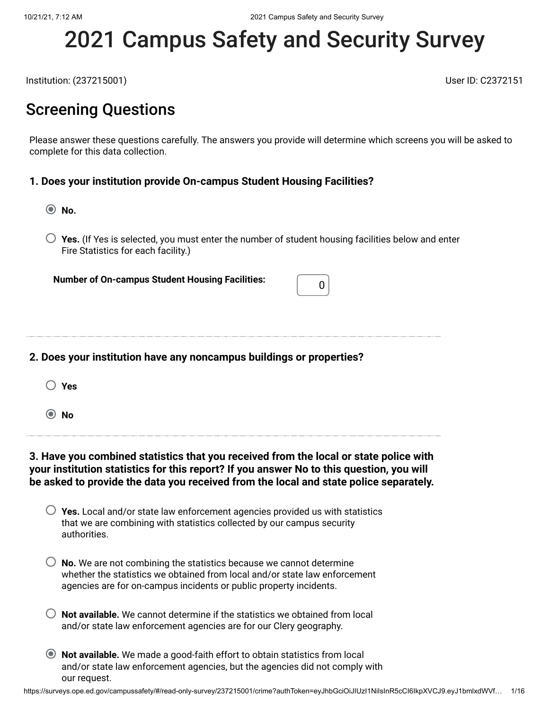# 2021 Campus Safety and Security Survey

Institution: (237215001) User ID: C2372151

### Screening Questions

Please answer these questions carefully. The answers you provide will determine which screens you will be asked to complete for this data collection.

#### **1. Does your institution provide On-campus Student Housing Facilities?**

**No.**

**Yes.** (If Yes is selected, you must enter the number of student housing facilities below and enter Fire Statistics for each facility.)

**Number of On-campus Student Housing Facilities:**  $\begin{bmatrix} 0 \end{bmatrix}$ 

#### **2. Does your institution have any noncampus buildings or properties?**

| × |
|---|
|   |
|   |

**No**

#### **3. Have you combined statistics that you received from the local or state police with your institution statistics for this report? If you answer No to this question, you will be asked to provide the data you received from the local and state police separately.**

| $\bigcirc$ Yes. Local and/or state law enforcement agencies provided us with statistics |
|-----------------------------------------------------------------------------------------|
| that we are combining with statistics collected by our campus security                  |
| authorities.                                                                            |

| $\bigcirc$ No. We are not combining the statistics because we cannot determine |
|--------------------------------------------------------------------------------|
| whether the statistics we obtained from local and/or state law enforcement     |
| agencies are for on-campus incidents or public property incidents.             |

- **Not available.** We cannot determine if the statistics we obtained from local and/or state law enforcement agencies are for our Clery geography.
- **Not available.** We made a good-faith effort to obtain statistics from local and/or state law enforcement agencies, but the agencies did not comply with our request.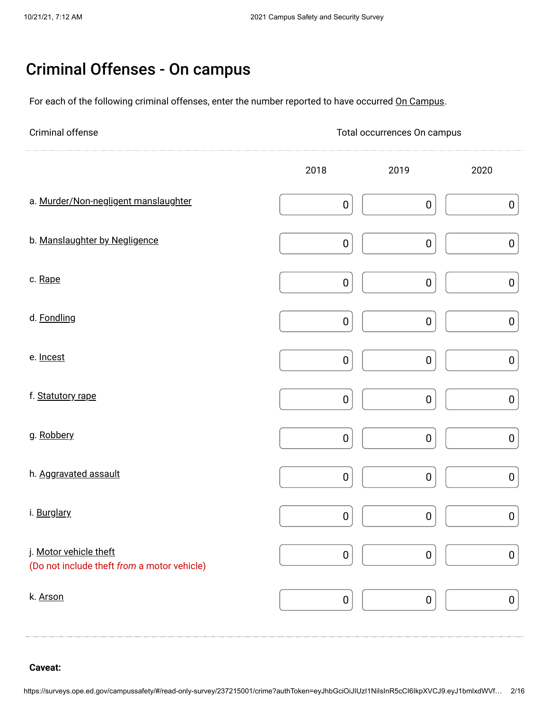## Criminal Offenses - On campus

For each of the following criminal offenses, enter the number reported to have occurred On Campus.

| Criminal offense                                                      |                  | Total occurrences On campus |                  |
|-----------------------------------------------------------------------|------------------|-----------------------------|------------------|
|                                                                       | 2018             | 2019                        | 2020             |
| a. Murder/Non-negligent manslaughter                                  | $\pmb{0}$        | $\pmb{0}$                   | $\pmb{0}$        |
| b. Manslaughter by Negligence                                         | $\pmb{0}$        | $\pmb{0}$                   | $\pmb{0}$        |
| c. Rape                                                               | $\pmb{0}$        | $\pmb{0}$                   | $\pmb{0}$        |
| d. Fondling                                                           | $\pmb{0}$        | $\pmb{0}$                   | $\pmb{0}$        |
| e. Incest                                                             | $\pmb{0}$        | $\pmb{0}$                   | $\boldsymbol{0}$ |
| f. Statutory rape                                                     | $\pmb{0}$        | $\pmb{0}$                   | $\pmb{0}$        |
| g. Robbery                                                            | $\pmb{0}$        | $\pmb{0}$                   | $\pmb{0}$        |
| h. Aggravated assault                                                 | $\pmb{0}$        | $\pmb{0}$                   | $\pmb{0}$        |
| i. Burglary                                                           | $\boldsymbol{0}$ | $\pmb{0}$                   | $\pmb{0}$        |
| j. Motor vehicle theft<br>(Do not include theft from a motor vehicle) | $\pmb{0}$        | 0                           | $\boldsymbol{0}$ |
| k. Arson                                                              | $\pmb{0}$        | $\pmb{0}$                   | $\boldsymbol{0}$ |

**Caveat:**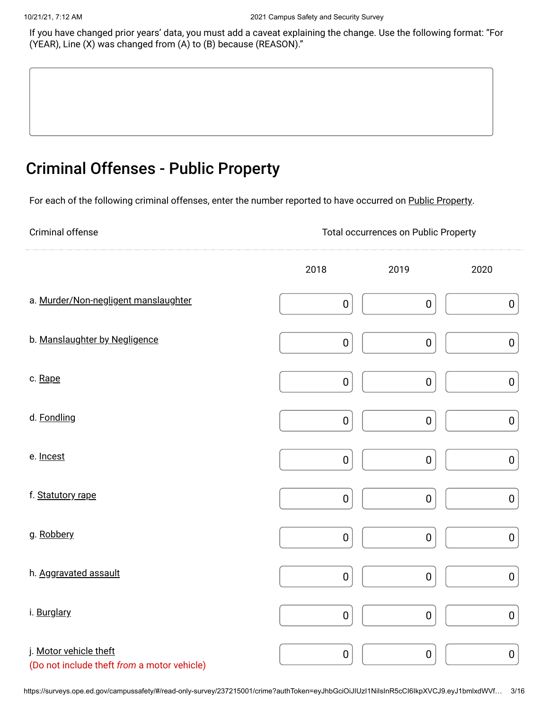If you have changed prior years' data, you must add a caveat explaining the change. Use the following format: "For (YEAR), Line (X) was changed from (A) to (B) because (REASON)."

### Criminal Offenses - Public Property

For each of the following criminal offenses, enter the number reported to have occurred on Public Property.

Criminal offense Total occurrences on Public Property

|                                                                       | 2018      | 2019      | 2020      |
|-----------------------------------------------------------------------|-----------|-----------|-----------|
| a. Murder/Non-negligent manslaughter                                  | $\pmb{0}$ | $\bf{0}$  | $\pmb{0}$ |
| b. Manslaughter by Negligence                                         | $\pmb{0}$ | $\pmb{0}$ | $\pmb{0}$ |
| c. Rape                                                               | $\pmb{0}$ | $\pmb{0}$ | $\pmb{0}$ |
| d. Fondling                                                           | $\pmb{0}$ | $\pmb{0}$ | $\pmb{0}$ |
| e. Incest                                                             | $\pmb{0}$ | $\pmb{0}$ | $\pmb{0}$ |
| f. Statutory rape                                                     | $\pmb{0}$ | $\pmb{0}$ | $\pmb{0}$ |
| g. Robbery                                                            | $\pmb{0}$ | $\pmb{0}$ | $\pmb{0}$ |
| h. Aggravated assault                                                 | $\pmb{0}$ | $\pmb{0}$ | $\pmb{0}$ |
| i. Burglary                                                           | $\pmb{0}$ | $\pmb{0}$ | $\pmb{0}$ |
| j. Motor vehicle theft<br>(Do not include theft from a motor vehicle) | $\pmb{0}$ | $\pmb{0}$ | $\pmb{0}$ |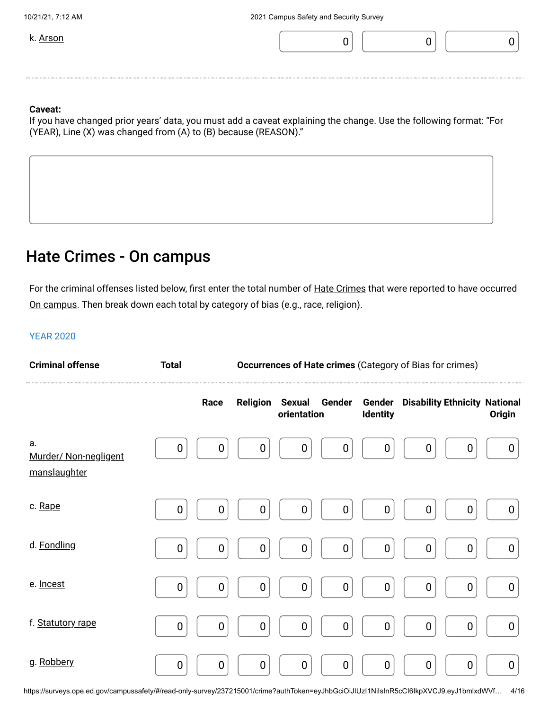

If you have changed prior years' data, you must add a caveat explaining the change. Use the following format: "For (YEAR), Line (X) was changed from (A) to (B) because (REASON)."

### Hate Crimes - On campus

For the criminal offenses listed below, first enter the total number of <u>Hate Crimes</u> that were reported to have occurred <u>On campus</u>. Then break down each total by category of bias (e.g., race, religion).

#### YEAR 2020

| <b>Criminal offense</b>                     | <b>Total</b>     |             | <b>Occurrences of Hate crimes (Category of Bias for crimes)</b> |                  |                  |                           |                                      |                  |                  |
|---------------------------------------------|------------------|-------------|-----------------------------------------------------------------|------------------|------------------|---------------------------|--------------------------------------|------------------|------------------|
|                                             |                  | Race        | <b>Religion Sexual</b>                                          | orientation      | Gender           | Gender<br><b>Identity</b> | <b>Disability Ethnicity National</b> |                  | Origin           |
| а.<br>Murder/ Non-negligent<br>manslaughter | $\mathbf 0$      | $\mathbf 0$ | $\boldsymbol{0}$                                                | $\boldsymbol{0}$ | $\mathbf 0$      | $\mathbf 0$               | $\mathbf 0$                          | 0                | $\boldsymbol{0}$ |
| c. Rape                                     | $\mathbf 0$      | $\mathbf 0$ | 0                                                               | $\mathbf 0$      | $\boldsymbol{0}$ | $\mathbf 0$               | $\mathbf 0$                          | $\mathbf 0$      | 0                |
| d. Fondling                                 | $\boldsymbol{0}$ | $\mathbf 0$ | $\boldsymbol{0}$                                                | $\boldsymbol{0}$ | $\mathbf 0$      | $\mathbf 0$               | $\mathbf 0$                          | $\boldsymbol{0}$ | $\boldsymbol{0}$ |
| e. Incest                                   | $\mathbf 0$      | $\mathbf 0$ | $\boldsymbol{0}$                                                | $\mathbf 0$      | $\pmb{0}$        | $\mathbf 0$               | $\overline{0}$                       | $\mathbf 0$      | $\boldsymbol{0}$ |
| f. Statutory rape                           | $\boldsymbol{0}$ | $\mathbf 0$ | $\boldsymbol{0}$                                                | $\boldsymbol{0}$ | $\pmb{0}$        | $\mathbf 0$               | $\mathbf 0$                          | $\mathbf 0$      | $\boldsymbol{0}$ |
| g. Robbery                                  | $\mathbf 0$      | $\mathbf 0$ | $\boldsymbol{0}$                                                | $\mathbf 0$      | $\mathbf 0$      | $\boldsymbol{0}$          | $\mathbf 0$                          | $\mathbf 0$      | $\mathbf 0$      |

https://surveys.ope.ed.gov/campussafety/#/read-only-survey/237215001/crime?authToken=eyJhbGciOiJIUzI1NiIsInR5cCI6IkpXVCJ9.eyJ1bmlxdWVf… 4/16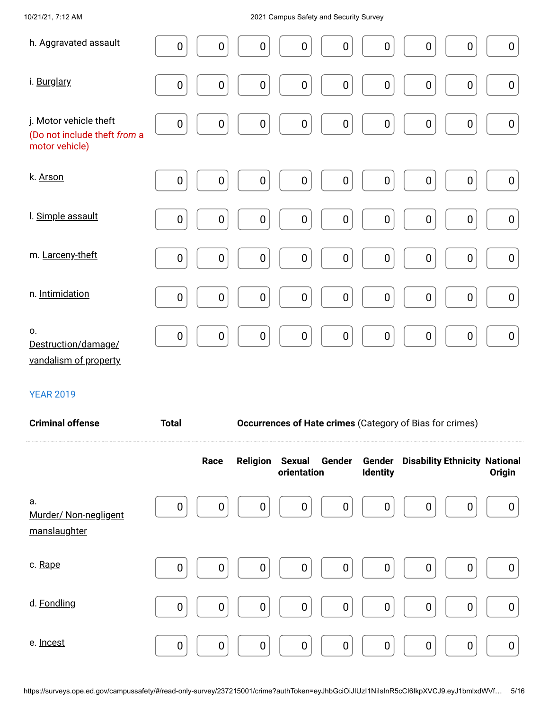#### 10/21/21, 7:12 AM 2021 Campus Safety and Security Survey

| h. Aggravated assault                                                    | $\boldsymbol{0}$<br>$\mathbf 0$<br>$\mathbf 0$<br>$\pmb{0}$<br>$\pmb{0}$<br>$\boldsymbol{0}$<br>0<br>$\boldsymbol{0}$<br>$\boldsymbol{0}$       |
|--------------------------------------------------------------------------|-------------------------------------------------------------------------------------------------------------------------------------------------|
| i. Burglary                                                              | $\boldsymbol{0}$<br>$\pmb{0}$<br>$\pmb{0}$<br>$\pmb{0}$<br>$\pmb{0}$<br>$\pmb{0}$<br>$\pmb{0}$<br>$\pmb{0}$<br>$\pmb{0}$                        |
| j. Motor vehicle theft<br>(Do not include theft from a<br>motor vehicle) | $\pmb{0}$<br>$\pmb{0}$<br>$\pmb{0}$<br>$\pmb{0}$<br>$\mathbf 0$<br>$\boldsymbol{0}$<br>$\boldsymbol{0}$<br>$\boldsymbol{0}$<br>$\boldsymbol{0}$ |
| k. Arson                                                                 | $\boldsymbol{0}$<br>$\pmb{0}$<br>$\pmb{0}$<br>$\pmb{0}$<br>$\pmb{0}$<br>$\pmb{0}$<br>$\boldsymbol{0}$<br>$\mathbf 0$<br>$\pmb{0}$               |
| I. Simple assault                                                        | $\pmb{0}$<br>$\boldsymbol{0}$<br>$\pmb{0}$<br>$\pmb{0}$<br>$\pmb{0}$<br>$\pmb{0}$<br>$\pmb{0}$<br>$\pmb{0}$<br>$\pmb{0}$                        |
| m. Larceny-theft                                                         | $\pmb{0}$<br>$\pmb{0}$<br>$\boldsymbol{0}$<br>$\pmb{0}$<br>$\pmb{0}$<br>$\pmb{0}$<br>$\pmb{0}$<br>$\pmb{0}$<br>$\pmb{0}$                        |
| n. Intimidation                                                          | $\boldsymbol{0}$<br>$\boldsymbol{0}$<br>$\pmb{0}$<br>$\pmb{0}$<br>$\pmb{0}$<br>$\boldsymbol{0}$<br>$\pmb{0}$<br>$\boldsymbol{0}$<br>$\pmb{0}$   |
| 0.<br>Destruction/damage/<br>vandalism of property                       | $\pmb{0}$<br>$\mathbf 0$<br>$\pmb{0}$<br>$\pmb{0}$<br>$\pmb{0}$<br>$\pmb{0}$<br>$\pmb{0}$<br>$\pmb{0}$<br>$\pmb{0}$                             |

#### YEAR 2019

| <b>Criminal offense</b>                     | <b>Total</b> |                  | <b>Occurrences of Hate crimes (Category of Bias for crimes)</b> |                 |                                             |               |  |  |  |
|---------------------------------------------|--------------|------------------|-----------------------------------------------------------------|-----------------|---------------------------------------------|---------------|--|--|--|
|                                             | Race         | <b>Religion</b>  | Sexual Gender<br>orientation                                    | <b>Identity</b> | <b>Gender</b> Disability Ethnicity National | <b>Origin</b> |  |  |  |
| a.<br>Murder/ Non-negligent<br>manslaughter | 0            | $\mathbf 0$<br>0 | 0<br>$\boldsymbol{0}$                                           | $\mathbf 0$     | 0<br>0                                      | 0             |  |  |  |
| c. Rape                                     | 0            | 0<br>0           | $\mathbf 0$<br>0                                                | 0               | 0<br>0                                      | 0             |  |  |  |
| d. Fondling                                 | 0            | 0<br>0           | $\mathbf 0$<br>0                                                | 0               | 0<br>0                                      | 0             |  |  |  |
| e. Incest                                   | 0            | 0<br>$\mathbf 0$ | $\mathbf 0$<br>0                                                | $\mathbf 0$     | 0<br>0                                      | 0             |  |  |  |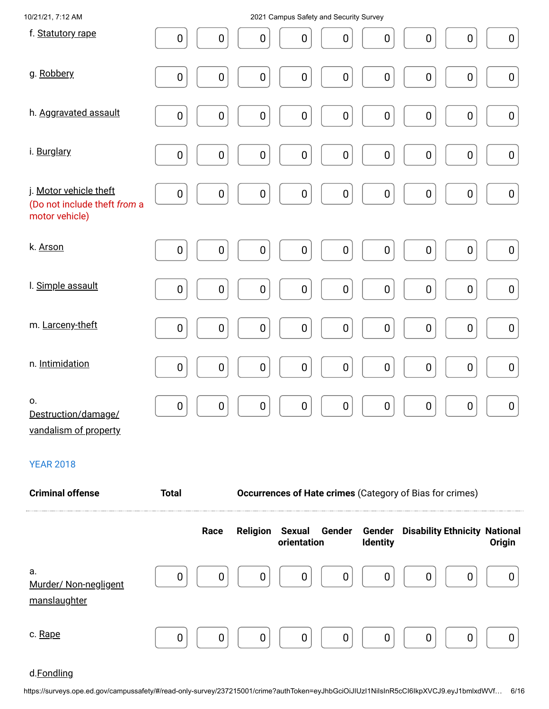| 10/21/21, 7:12 AM                                                        |              |           |                  |                       | 2021 Campus Safety and Security Survey |           |                                                          |           |                  |
|--------------------------------------------------------------------------|--------------|-----------|------------------|-----------------------|----------------------------------------|-----------|----------------------------------------------------------|-----------|------------------|
| f. Statutory rape                                                        | $\pmb{0}$    | $\pmb{0}$ | $\pmb{0}$        | $\pmb{0}$             | $\pmb{0}$                              | $\pmb{0}$ | $\pmb{0}$                                                | $\pmb{0}$ | $\pmb{0}$        |
| g. Robbery                                                               | $\pmb{0}$    | $\pmb{0}$ | $\pmb{0}$        | $\pmb{0}$             | $\pmb{0}$                              | $\pmb{0}$ | $\pmb{0}$                                                | $\pmb{0}$ | $\boldsymbol{0}$ |
| h. Aggravated assault                                                    | $\pmb{0}$    | $\pmb{0}$ | $\pmb{0}$        | $\pmb{0}$             | $\pmb{0}$                              | $\pmb{0}$ | $\pmb{0}$                                                | $\pmb{0}$ | $\pmb{0}$        |
| i. Burglary                                                              | $\pmb{0}$    | $\pmb{0}$ | $\pmb{0}$        | $\pmb{0}$             | $\pmb{0}$                              | $\pmb{0}$ | $\pmb{0}$                                                | $\pmb{0}$ | $\pmb{0}$        |
| j. Motor vehicle theft<br>(Do not include theft from a<br>motor vehicle) | $\pmb{0}$    | 0         | $\pmb{0}$        | $\pmb{0}$             | $\pmb{0}$                              | $\pmb{0}$ | $\pmb{0}$                                                | $\pmb{0}$ | $\pmb{0}$        |
| k. Arson                                                                 | $\pmb{0}$    | 0         | $\pmb{0}$        | $\pmb{0}$             | $\pmb{0}$                              | $\pmb{0}$ | $\pmb{0}$                                                | $\pmb{0}$ | $\pmb{0}$        |
| I. Simple assault                                                        | $\pmb{0}$    | $\pmb{0}$ | $\pmb{0}$        | $\pmb{0}$             | $\pmb{0}$                              | $\pmb{0}$ | $\pmb{0}$                                                | $\pmb{0}$ | $\pmb{0}$        |
| m. Larceny-theft                                                         | $\pmb{0}$    | $\pmb{0}$ | $\pmb{0}$        | $\pmb{0}$             | $\pmb{0}$                              | $\pmb{0}$ | $\pmb{0}$                                                | $\pmb{0}$ | $\pmb{0}$        |
| n. Intimidation                                                          | $\pmb{0}$    | $\pmb{0}$ | $\pmb{0}$        | $\pmb{0}$             | $\pmb{0}$                              | $\pmb{0}$ | $\pmb{0}$                                                | $\pmb{0}$ | $\boldsymbol{0}$ |
| О.<br>Destruction/damage/<br>vandalism of property                       | $\pmb{0}$    | 0         | $\pmb{0}$        | $\pmb{0}$             | $\pmb{0}$                              | $\pmb{0}$ | $\pmb{0}$                                                | $\pmb{0}$ | $\pmb{0}$        |
| <b>YEAR 2018</b>                                                         |              |           |                  |                       |                                        |           |                                                          |           |                  |
| <b>Criminal offense</b>                                                  | <b>Total</b> |           |                  |                       |                                        |           | Occurrences of Hate crimes (Category of Bias for crimes) |           |                  |
|                                                                          |              | Race      | <b>Religion</b>  | Sexual<br>orientation | Gender                                 | Identity  | <b>Gender</b> Disability Ethnicity National              |           | Origin           |
| а.<br>Murder/ Non-negligent<br>manslaughter                              | 0            | 0         | $\boldsymbol{0}$ | 0                     | 0                                      | 0         | $\boldsymbol{0}$                                         | 0         | 0                |
| c. Rape                                                                  | 0            | 0         | 0                | 0                     | $\mathbf 0$                            | 0         | $\mathbf 0$                                              | 0         | 0                |

### d.Fondling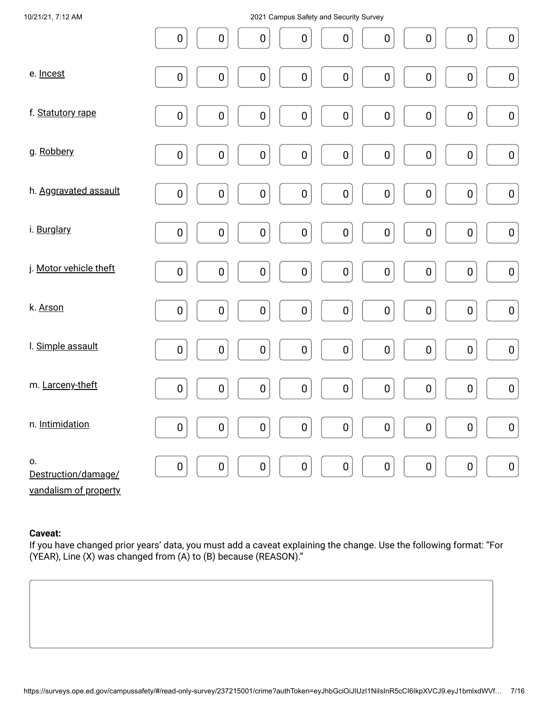| 10/21/21, 7:12 AM                                  | 2021 Campus Safety and Security Survey                                                                                   |
|----------------------------------------------------|--------------------------------------------------------------------------------------------------------------------------|
|                                                    | $\pmb{0}$<br>$\pmb{0}$<br>$\pmb{0}$<br>$\pmb{0}$<br>$\pmb{0}$<br>$\pmb{0}$<br>$\pmb{0}$<br>$\pmb{0}$<br>$\pmb{0}$        |
| e. Incest                                          | $\pmb{0}$<br>$\pmb{0}$<br>$\pmb{0}$<br>$\pmb{0}$<br>$\pmb{0}$<br>$\pmb{0}$<br>$\pmb{0}$<br>$\pmb{0}$<br>$\pmb{0}$        |
| f. Statutory rape                                  | $\pmb{0}$<br>$\pmb{0}$<br>$\pmb{0}$<br>$\pmb{0}$<br>$\pmb{0}$<br>$\pmb{0}$<br>$\pmb{0}$<br>$\pmb{0}$<br>$\pmb{0}$        |
| g. Robbery                                         | $\pmb{0}$<br>${\bf 0}$<br>$\pmb{0}$<br>$\pmb{0}$<br>$\pmb{0}$<br>$\pmb{0}$<br>$\pmb{0}$<br>$\pmb{0}$<br>$\pmb{0}$        |
| h. Aggravated assault                              | $\pmb{0}$<br>$\pmb{0}$<br>$\pmb{0}$<br>$\boldsymbol{0}$<br>$\pmb{0}$<br>$\pmb{0}$<br>$\pmb{0}$<br>$\pmb{0}$<br>$\pmb{0}$ |
| i. Burglary                                        | $\pmb{0}$<br>${\bf 0}$<br>$\pmb{0}$<br>$\pmb{0}$<br>$\pmb{0}$<br>$\pmb{0}$<br>$\pmb{0}$<br>$\pmb{0}$<br>$\pmb{0}$        |
| j. Motor vehicle theft                             | $\pmb{0}$<br>$\pmb{0}$<br>$\pmb{0}$<br>$\mathbf 0$<br>$\pmb{0}$<br>$\pmb{0}$<br>$\pmb{0}$<br>$\pmb{0}$<br>$\pmb{0}$      |
| k. Arson                                           | $\pmb{0}$<br>${\bf 0}$<br>$\pmb{0}$<br>$\pmb{0}$<br>$\pmb{0}$<br>$\pmb{0}$<br>$\pmb{0}$<br>$\pmb{0}$<br>$\pmb{0}$        |
| I. Simple assault                                  | $\pmb{0}$<br>$\pmb{0}$<br>$\pmb{0}$<br>${\bf 0}$<br>$\pmb{0}$<br>$\pmb{0}$<br>$\pmb{0}$<br>$\pmb{0}$<br>$\pmb{0}$        |
| m. Larceny-theft                                   | $\pmb{0}$<br>$\pmb{0}$<br>$\pmb{0}$<br>$\pmb{0}$<br>$\pmb{0}$<br>$\pmb{0}$<br>$\pmb{0}$<br>$\pmb{0}$<br>$\pmb{0}$        |
| n. Intimidation                                    | $\pmb{0}$<br>$\pmb{0}$<br>$\mathbf 0$<br>$\mathbf 0$<br>$\pmb{0}$<br>$\pmb{0}$<br>$\pmb{0}$<br>$\pmb{0}$<br>$\pmb{0}$    |
| О.<br>Destruction/damage/<br>vandalism of property | $\pmb{0}$<br>$\pmb{0}$<br>$\pmb{0}$<br>$\pmb{0}$<br>$\pmb{0}$<br>$\pmb{0}$<br>$\pmb{0}$<br>$\pmb{0}$<br>$\pmb{0}$        |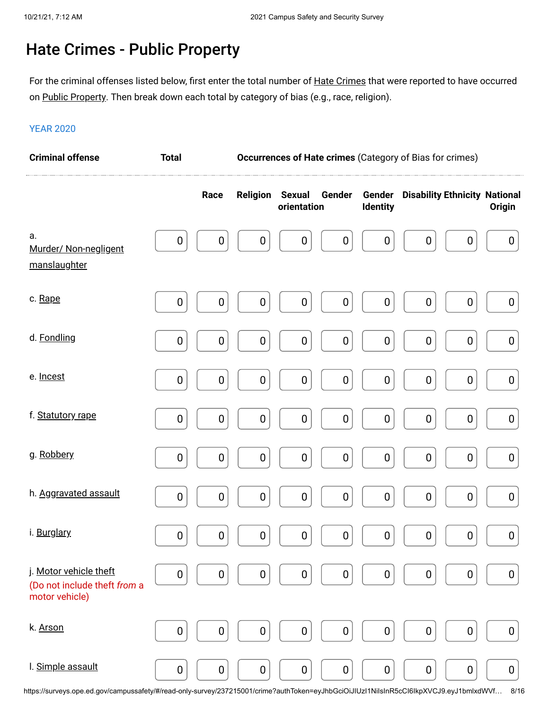### Hate Crimes - Public Property

For the criminal offenses listed below, first enter the total number of <u>Hate Crimes</u> that were reported to have occurred on <u>Public Property</u>. Then break down each total by category of bias (e.g., race, religion).

#### YEAR 2020

| <b>Criminal offense</b><br>Occurrences of Hate crimes (Category of Bias for crimes)<br><b>Total</b> |                  |                  |                  |                              |                  |                           |                  |                                      |                  |
|-----------------------------------------------------------------------------------------------------|------------------|------------------|------------------|------------------------------|------------------|---------------------------|------------------|--------------------------------------|------------------|
|                                                                                                     |                  | Race             | <b>Religion</b>  | <b>Sexual</b><br>orientation | Gender           | Gender<br><b>Identity</b> |                  | <b>Disability Ethnicity National</b> | <b>Origin</b>    |
| а.<br>Murder/ Non-negligent<br>manslaughter                                                         | $\pmb{0}$        | $\pmb{0}$        | $\boldsymbol{0}$ | 0                            | $\boldsymbol{0}$ | $\pmb{0}$                 | $\boldsymbol{0}$ | 0                                    | $\boldsymbol{0}$ |
| c. Rape                                                                                             | $\boldsymbol{0}$ | 0                | $\boldsymbol{0}$ | 0                            | $\boldsymbol{0}$ | $\boldsymbol{0}$          | $\boldsymbol{0}$ | 0                                    | $\boldsymbol{0}$ |
| d. Fondling                                                                                         | $\pmb{0}$        | $\boldsymbol{0}$ | $\boldsymbol{0}$ | $\boldsymbol{0}$             | $\pmb{0}$        | $\pmb{0}$                 | $\pmb{0}$        | $\boldsymbol{0}$                     | $\boldsymbol{0}$ |
| e. Incest                                                                                           | $\boldsymbol{0}$ | $\pmb{0}$        | $\boldsymbol{0}$ | 0                            | $\boldsymbol{0}$ | $\pmb{0}$                 | $\pmb{0}$        | $\pmb{0}$                            | $\boldsymbol{0}$ |
| f. Statutory rape                                                                                   | $\pmb{0}$        | $\pmb{0}$        | $\pmb{0}$        | $\pmb{0}$                    | $\pmb{0}$        | $\pmb{0}$                 | $\mathbf 0$      | $\pmb{0}$                            | $\boldsymbol{0}$ |
| g. Robbery                                                                                          | $\pmb{0}$        | $\boldsymbol{0}$ | $\boldsymbol{0}$ | 0                            | $\pmb{0}$        | $\pmb{0}$                 | $\pmb{0}$        | 0                                    | $\boldsymbol{0}$ |
| h. Aggravated assault                                                                               | $\pmb{0}$        | $\pmb{0}$        | $\pmb{0}$        | $\boldsymbol{0}$             | $\pmb{0}$        | $\pmb{0}$                 | $\boldsymbol{0}$ | $\pmb{0}$                            | $\pmb{0}$        |
| i. Burglary                                                                                         | $\boldsymbol{0}$ | 0                | $\boldsymbol{0}$ | 0                            | $\boldsymbol{0}$ | $\boldsymbol{0}$          | $\boldsymbol{0}$ | 0                                    | $\boldsymbol{0}$ |
| j. Motor vehicle theft<br>(Do not include theft from a<br>motor vehicle)                            | $\pmb{0}$        | 0                | $\mathbf 0$      | $\boldsymbol{0}$             | $\boldsymbol{0}$ | $\boldsymbol{0}$          | $\bf{0}$         | 0                                    | 0                |
| k. Arson                                                                                            | $\boldsymbol{0}$ | $\boldsymbol{0}$ | $\pmb{0}$        | $\boldsymbol{0}$             | $\boldsymbol{0}$ | $\pmb{0}$                 | $\boldsymbol{0}$ | $\boldsymbol{0}$                     | $\boldsymbol{0}$ |
| I. Simple assault                                                                                   | $\boldsymbol{0}$ | $\boldsymbol{0}$ | $\boldsymbol{0}$ | 0                            | $\boldsymbol{0}$ | $\boldsymbol{0}$          | $\boldsymbol{0}$ | 0                                    | 0                |

https://surveys.ope.ed.gov/campussafety/#/read-only-survey/237215001/crime?authToken=eyJhbGciOiJIUzI1NiIsInR5cCI6IkpXVCJ9.eyJ1bmlxdWVf… 8/16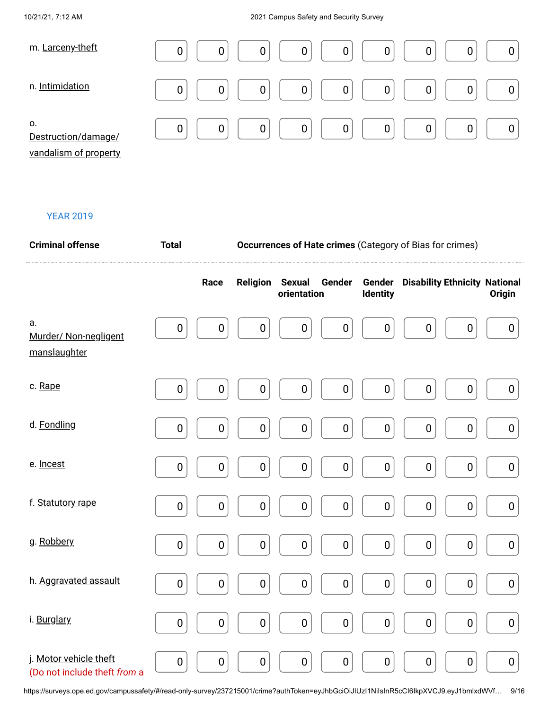#### 10/21/21, 7:12 AM 2021 Campus Safety and Security Survey

| m. Larceny-theft                                   | 0<br>0<br>0<br>$\mathbf 0$<br>0<br>0    |
|----------------------------------------------------|-----------------------------------------|
| n. Intimidation                                    | 0<br>$\overline{0}$<br>0<br>0<br>0<br>0 |
| 0.<br>Destruction/damage/<br>vandalism of property | 0<br>0<br>0<br>0<br>0<br>0              |

#### YEAR 2019

| <b>Criminal offense</b>                                | <b>Total</b> |           |                 | <b>Occurrences of Hate crimes (Category of Bias for crimes)</b> |           |                 |                                             |                  |
|--------------------------------------------------------|--------------|-----------|-----------------|-----------------------------------------------------------------|-----------|-----------------|---------------------------------------------|------------------|
|                                                        |              | Race      | <b>Religion</b> | <b>Sexual</b><br>orientation                                    | Gender    | <b>Identity</b> | <b>Gender</b> Disability Ethnicity National | <b>Origin</b>    |
| а.<br>Murder/ Non-negligent<br>manslaughter            | 0            | $\pmb{0}$ | 0               | 0                                                               | $\pmb{0}$ | 0               | $\mathbf 0$<br>$\mathbf 0$                  | $\boldsymbol{0}$ |
| c. Rape                                                | $\pmb{0}$    | $\pmb{0}$ | $\pmb{0}$       | $\pmb{0}$                                                       | $\pmb{0}$ | $\pmb{0}$       | $\pmb{0}$<br>$\pmb{0}$                      | $\boldsymbol{0}$ |
| d. Fondling                                            | 0            | 0         | $\pmb{0}$       | $\pmb{0}$                                                       | $\pmb{0}$ | $\pmb{0}$       | $\pmb{0}$<br>$\pmb{0}$                      | $\pmb{0}$        |
| e. Incest                                              | $\mathbf 0$  | $\pmb{0}$ | $\pmb{0}$       | $\pmb{0}$                                                       | $\pmb{0}$ | $\pmb{0}$       | $\pmb{0}$<br>$\pmb{0}$                      | $\pmb{0}$        |
| f. Statutory rape                                      | $\pmb{0}$    | $\pmb{0}$ | $\pmb{0}$       | 0                                                               | $\pmb{0}$ | $\pmb{0}$       | $\pmb{0}$<br>$\pmb{0}$                      | $\pmb{0}$        |
| g. Robbery                                             | $\pmb{0}$    | $\pmb{0}$ | $\pmb{0}$       | $\pmb{0}$                                                       | $\pmb{0}$ | $\pmb{0}$       | $\pmb{0}$<br>$\pmb{0}$                      | $\pmb{0}$        |
| h. Aggravated assault                                  | $\pmb{0}$    | $\pmb{0}$ | $\pmb{0}$       | $\pmb{0}$                                                       | $\pmb{0}$ | $\pmb{0}$       | $\pmb{0}$<br>$\pmb{0}$                      | $\pmb{0}$        |
| i. Burglary                                            | $\pmb{0}$    | $\pmb{0}$ | $\pmb{0}$       | $\pmb{0}$                                                       | $\pmb{0}$ | $\pmb{0}$       | $\pmb{0}$<br>$\pmb{0}$                      | $\pmb{0}$        |
| j. Motor vehicle theft<br>(Do not include theft from a | $\pmb{0}$    | $\pmb{0}$ | $\pmb{0}$       | $\pmb{0}$                                                       | $\pmb{0}$ | $\pmb{0}$       | $\pmb{0}$<br>$\pmb{0}$                      | $\bf{0}$         |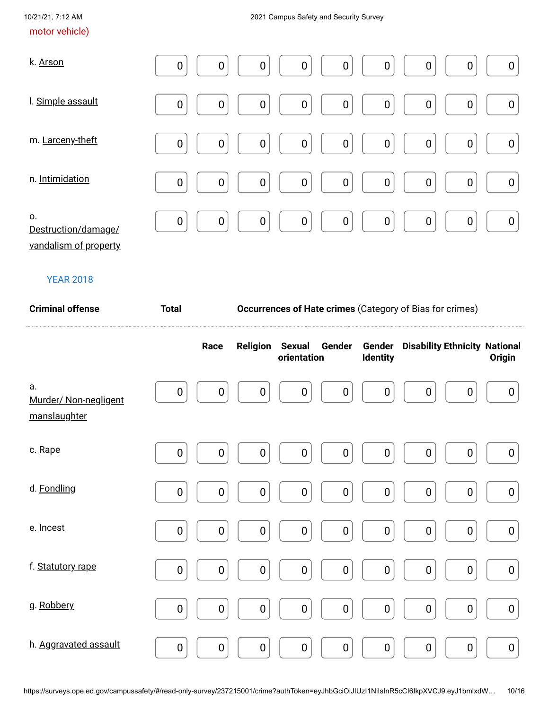#### motor vehicle)

| k. Arson                  | $\boldsymbol{0}$<br>0<br>$\boldsymbol{0}$<br>0<br>$\boldsymbol{0}$<br>$\boldsymbol{0}$<br>$\boldsymbol{0}$<br>$\boldsymbol{0}$<br>$\boldsymbol{0}$                |
|---------------------------|-------------------------------------------------------------------------------------------------------------------------------------------------------------------|
| I. Simple assault         | $\mathbf 0$<br>$\mathbf 0$<br>$\boldsymbol{0}$<br>$\boldsymbol{0}$<br>$\boldsymbol{0}$<br>$\boldsymbol{0}$<br>$\boldsymbol{0}$<br>$\boldsymbol{0}$<br>$\mathbf 0$ |
| m. Larceny-theft          | $\boldsymbol{0}$<br>$\boldsymbol{0}$<br>0<br>$\mathbf 0$<br>$\boldsymbol{0}$<br>$\boldsymbol{0}$<br>$\boldsymbol{0}$<br>$\mathbf 0$<br>0                          |
| n. Intimidation           | $\mathbf 0$<br>$\mathbf 0$<br>$\mathbf 0$<br>$\pmb{0}$<br>$\mathbf 0$<br>$\mathbf 0$<br>0<br>$\boldsymbol{0}$<br>$\boldsymbol{0}$                                 |
| 0.<br>Destruction/damage/ | $\mathbf 0$<br>$\pmb{0}$<br>$\mathbf 0$<br>$\mathbf 0$<br>$\mathbf 0$<br>$\pmb{0}$<br>$\boldsymbol{0}$<br>$\mathbf 0$<br>$\pmb{0}$                                |

vandalism of property

#### YEAR 2018

| <b>Criminal offense</b>                     | <b>Total</b>     | Occurrences of Hate crimes (Category of Bias for crimes) |                  |                              |                  |                           |                                      |                  |
|---------------------------------------------|------------------|----------------------------------------------------------|------------------|------------------------------|------------------|---------------------------|--------------------------------------|------------------|
|                                             |                  | Race                                                     | <b>Religion</b>  | <b>Sexual</b><br>orientation | Gender           | Gender<br><b>Identity</b> | <b>Disability Ethnicity National</b> | Origin           |
| a.<br>Murder/ Non-negligent<br>manslaughter | $\mathbf 0$      | $\mathbf 0$                                              | 0                | $\mathbf 0$                  | $\mathbf 0$      | $\pmb{0}$                 | $\boldsymbol{0}$<br>0                | $\boldsymbol{0}$ |
| c. Rape                                     | 0                | $\pmb{0}$                                                | 0                | $\mathbf 0$                  | $\mathbf 0$      | $\pmb{0}$                 | $\boldsymbol{0}$<br>$\mathbf 0$      | $\boldsymbol{0}$ |
| d. Fondling                                 | 0                | $\pmb{0}$                                                | $\boldsymbol{0}$ | $\boldsymbol{0}$             | $\boldsymbol{0}$ | $\boldsymbol{0}$          | $\boldsymbol{0}$<br>$\boldsymbol{0}$ | $\pmb{0}$        |
| e. Incest                                   | $\pmb{0}$        | $\pmb{0}$                                                | $\boldsymbol{0}$ | $\boldsymbol{0}$             | $\mathbf 0$      | $\pmb{0}$                 | $\boldsymbol{0}$<br>$\boldsymbol{0}$ | $\boldsymbol{0}$ |
| f. Statutory rape                           | $\boldsymbol{0}$ | $\pmb{0}$                                                | $\pmb{0}$        | $\pmb{0}$                    | $\mathbf 0$      | $\pmb{0}$                 | $\boldsymbol{0}$<br>$\boldsymbol{0}$ | $\boldsymbol{0}$ |
| g. Robbery                                  | $\pmb{0}$        | $\pmb{0}$                                                | $\pmb{0}$        | $\pmb{0}$                    | $\mathbf 0$      | $\pmb{0}$                 | $\pmb{0}$<br>$\pmb{0}$               | $\pmb{0}$        |
| h. Aggravated assault                       | $\pmb{0}$        | $\pmb{0}$                                                | $\pmb{0}$        | $\pmb{0}$                    | $\mathbf 0$      | $\pmb{0}$                 | $\pmb{0}$<br>$\boldsymbol{0}$        | $\pmb{0}$        |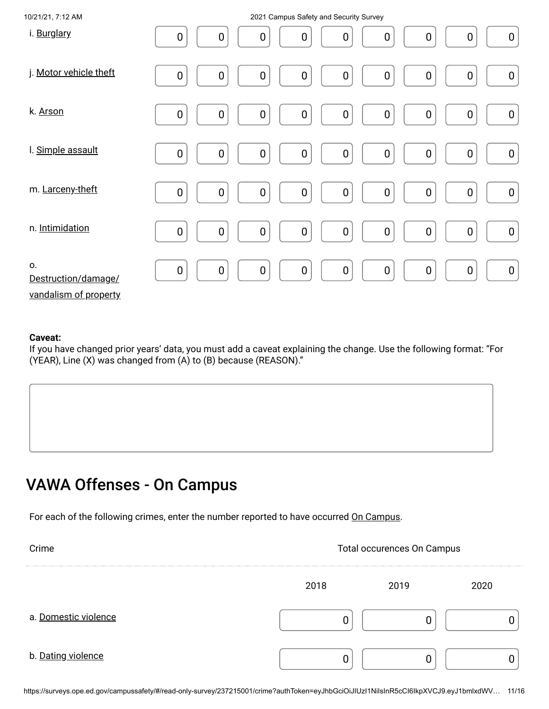| 10/21/21, 7:12 AM                                  | 2021 Campus Safety and Security Survey                                                                                                                        |
|----------------------------------------------------|---------------------------------------------------------------------------------------------------------------------------------------------------------------|
| i. Burglary                                        | $\mathbf 0$<br>$\boldsymbol{0}$<br>$\boldsymbol{0}$<br>$\boldsymbol{0}$<br>$\boldsymbol{0}$<br>0<br>$\boldsymbol{0}$<br>0<br>$\boldsymbol{0}$                 |
| j. Motor vehicle theft                             | $\mathbf 0$<br>$\pmb{0}$<br>$\boldsymbol{0}$<br>$\pmb{0}$<br>$\boldsymbol{0}$<br>$\pmb{0}$<br>$\pmb{0}$<br>$\boldsymbol{0}$<br>$\pmb{0}$                      |
| k. Arson                                           | $\pmb{0}$<br>$\boldsymbol{0}$<br>$\boldsymbol{0}$<br>$\pmb{0}$<br>$\pmb{0}$<br>$\boldsymbol{0}$<br>$\pmb{0}$<br>$\pmb{0}$<br>$\boldsymbol{0}$                 |
| I. Simple assault                                  | $\pmb{0}$<br>$\boldsymbol{0}$<br>$\pmb{0}$<br>$\mathbf 0$<br>$\mathbf 0$<br>$\pmb{0}$<br>$\pmb{0}$<br>$\pmb{0}$<br>$\boldsymbol{0}$                           |
| m. Larceny-theft                                   | $\mathbf 0$<br>$\mathbf 0$<br>$\mathbf 0$<br>$\boldsymbol{0}$<br>$\pmb{0}$<br>$\boldsymbol{0}$<br>$\pmb{0}$<br>$\pmb{0}$<br>$\mathbf 0$                       |
| n. Intimidation                                    | $\mathbf 0$<br>$\pmb{0}$<br>$\boldsymbol{0}$<br>$\boldsymbol{0}$<br>$\boldsymbol{0}$<br>$\boldsymbol{0}$<br>$\pmb{0}$<br>$\boldsymbol{0}$<br>$\boldsymbol{0}$ |
| О.<br>Destruction/damage/<br>vandalism of property | $\pmb{0}$<br>$\mathbf 0$<br>$\mathbf 0$<br>$\boldsymbol{0}$<br>$\boldsymbol{0}$<br>$\mathbf 0$<br>$\boldsymbol{0}$<br>$\boldsymbol{0}$<br>$\boldsymbol{0}$    |

If you have changed prior years' data, you must add a caveat explaining the change. Use the following format: "For (YEAR), Line (X) was changed from (A) to (B) because (REASON)."

### VAWA Offenses - On Campus

For each of the following crimes, enter the number reported to have occurred On Campus.

| Crime                | Total occurences On Campus |      |      |  |  |
|----------------------|----------------------------|------|------|--|--|
|                      | 2018                       | 2019 | 2020 |  |  |
| a. Domestic violence |                            |      |      |  |  |
| b. Dating violence   |                            |      |      |  |  |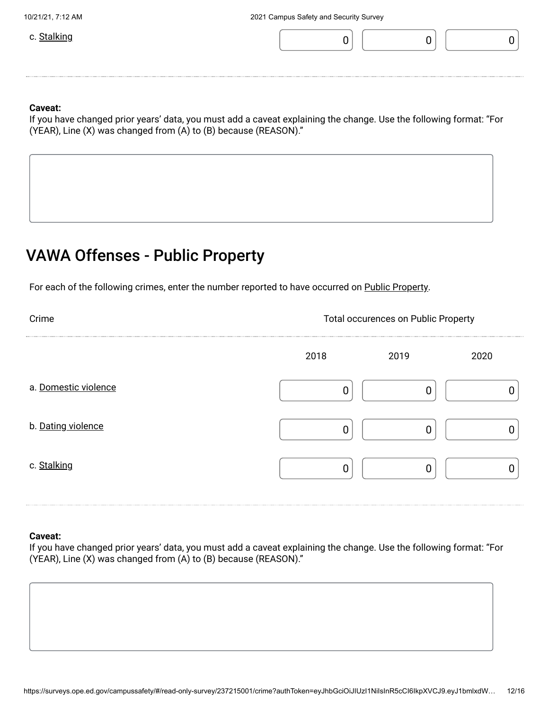

If you have changed prior years' data, you must add a caveat explaining the change. Use the following format: "For (YEAR), Line (X) was changed from (A) to (B) because (REASON)."

### VAWA Offenses - Public Property

For each of the following crimes, enter the number reported to have occurred on Public Property.

| Crime                | <b>Total occurences on Public Property</b> |      |      |  |  |
|----------------------|--------------------------------------------|------|------|--|--|
|                      | 2018                                       | 2019 | 2020 |  |  |
| a. Domestic violence |                                            |      |      |  |  |
| b. Dating violence   |                                            |      |      |  |  |
| c. Stalking          |                                            |      |      |  |  |

#### **Caveat:**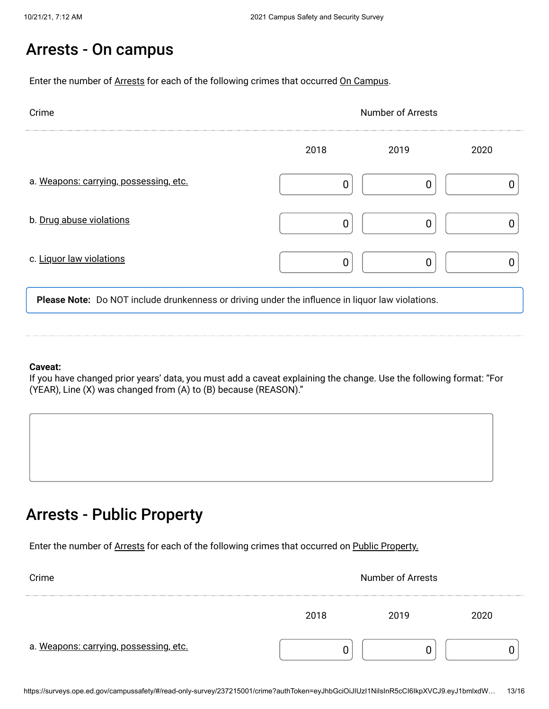### Arrests - On campus

Enter the number of Arrests for each of the following crimes that occurred On Campus.

| Crime                                  | <b>Number of Arrests</b> |      |      |  |
|----------------------------------------|--------------------------|------|------|--|
|                                        | 2018                     | 2019 | 2020 |  |
| a. Weapons: carrying, possessing, etc. | በ                        | ſ    |      |  |
| b. Drug abuse violations               | ი                        | ſ    |      |  |
| c. Liquor law violations               | 0                        |      |      |  |

**Please Note:** Do NOT include drunkenness or driving under the influence in liquor law violations.

#### **Caveat:**

If you have changed prior years' data, you must add a caveat explaining the change. Use the following format: "For (YEAR), Line (X) was changed from (A) to (B) because (REASON)."

### Arrests - Public Property

Enter the number of Arrests for each of the following crimes that occurred on Public Property.

| Crime                                  | <b>Number of Arrests</b> |      |     |  |  |
|----------------------------------------|--------------------------|------|-----|--|--|
|                                        | 2018                     | 2019 | חמו |  |  |
| a. Weapons: carrying, possessing, etc. |                          |      |     |  |  |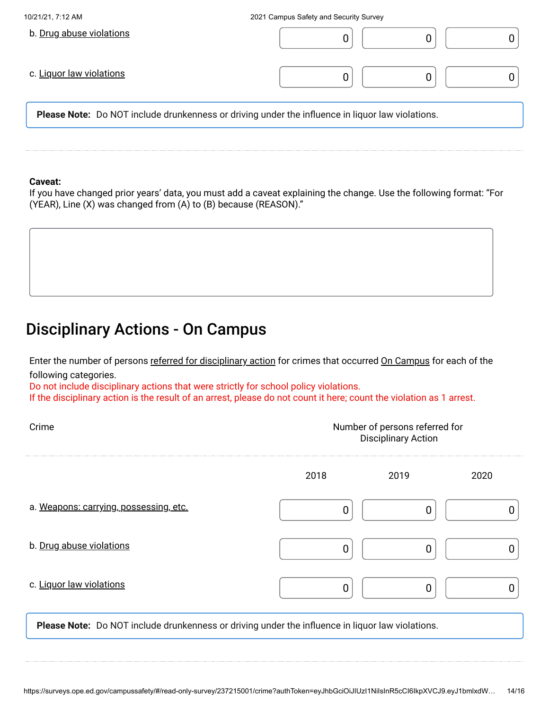| 10/21/21, 7:12 AM        | 2021 Campus Safety and Security Survey                                                                  |
|--------------------------|---------------------------------------------------------------------------------------------------------|
| b. Drug abuse violations |                                                                                                         |
| c. Liquor law violations |                                                                                                         |
|                          | <b>Please Note:</b> Do NOT include drunkenness or driving under the influence in liquor law violations. |
|                          |                                                                                                         |
|                          |                                                                                                         |

If you have changed prior years' data, you must add a caveat explaining the change. Use the following format: "For (YEAR), Line (X) was changed from (A) to (B) because (REASON)."

### Disciplinary Actions - On Campus

Enter the number of persons <u>referred for disciplinary action</u> for crimes that occurred <u>On Campus</u> for each of the following categories.

Do not include disciplinary actions that were strictly for school policy violations. If the disciplinary action is the result of an arrest, please do not count it here; count the violation as 1 arrest.

| Crime                                                                                            | Number of persons referred for<br><b>Disciplinary Action</b> |      |      |  |  |
|--------------------------------------------------------------------------------------------------|--------------------------------------------------------------|------|------|--|--|
|                                                                                                  | 2018                                                         | 2019 | 2020 |  |  |
| a. Weapons: carrying, possessing, etc.                                                           | 0                                                            | 0    |      |  |  |
| b. Drug abuse violations                                                                         | 0                                                            | 0    |      |  |  |
| c. Liquor law violations                                                                         | 0                                                            | 0    |      |  |  |
| Please Note: Do NOT include drunkenness or driving under the influence in liquor law violations. |                                                              |      |      |  |  |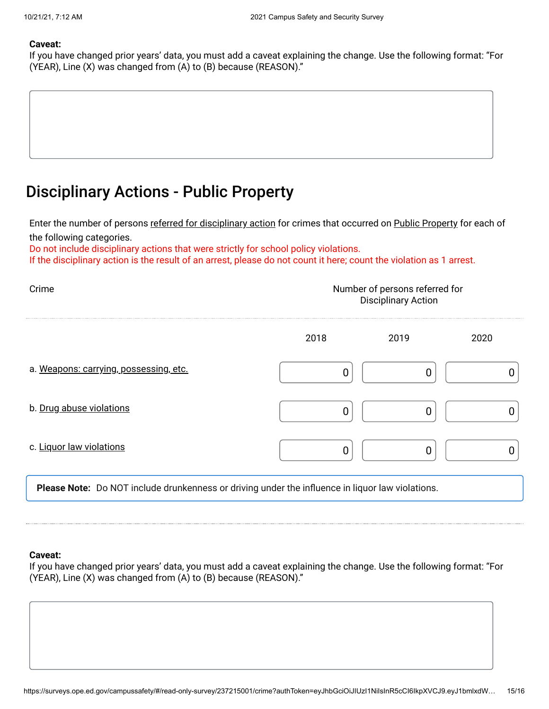If you have changed prior years' data, you must add a caveat explaining the change. Use the following format: "For (YEAR), Line (X) was changed from (A) to (B) because (REASON)."

### Disciplinary Actions - Public Property

Enter the number of persons <u>referred for disciplinary action</u> for crimes that occurred on <u>Public Property</u> for each of the following categories.

Do not include disciplinary actions that were strictly for school policy violations.

If the disciplinary action is the result of an arrest, please do not count it here; count the violation as 1 arrest.

| Crime                                  | Number of persons referred for<br><b>Disciplinary Action</b> |      |      |  |  |
|----------------------------------------|--------------------------------------------------------------|------|------|--|--|
|                                        | 2018                                                         | 2019 | 2020 |  |  |
| a. Weapons: carrying, possessing, etc. |                                                              |      |      |  |  |
| b. Drug abuse violations               | O                                                            |      |      |  |  |
| c. Liquor law violations               | 0                                                            |      |      |  |  |
|                                        |                                                              |      |      |  |  |

**Please Note:** Do NOT include drunkenness or driving under the influence in liquor law violations.

#### **Caveat:**